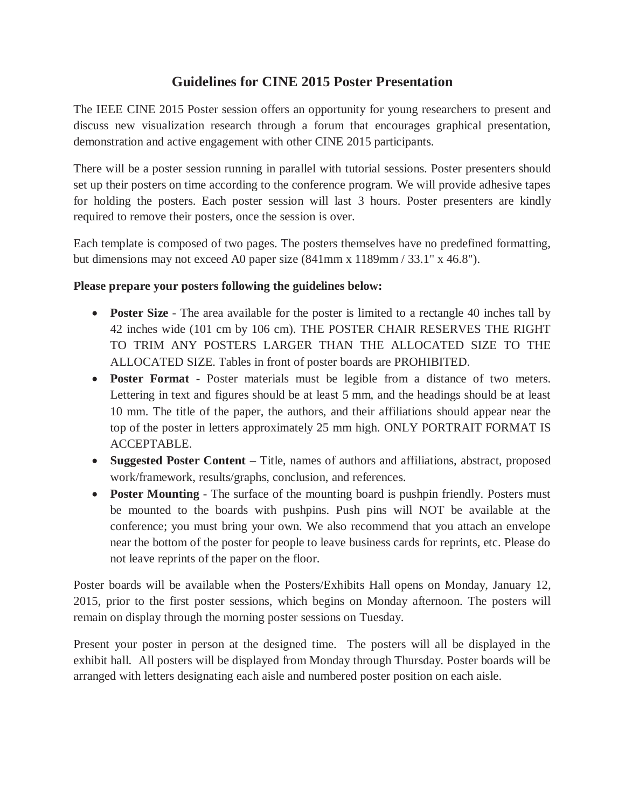## **Guidelines for CINE 2015 Poster Presentation**

The IEEE CINE 2015 Poster session offers an opportunity for young researchers to present and discuss new visualization research through a forum that encourages graphical presentation, demonstration and active engagement with other CINE 2015 participants.

There will be a poster session running in parallel with tutorial sessions. Poster presenters should set up their posters on time according to the conference program. We will provide adhesive tapes for holding the posters. Each poster session will last 3 hours. Poster presenters are kindly required to remove their posters, once the session is over.

Each template is composed of two pages. The posters themselves have no predefined formatting, but dimensions may not exceed A0 paper size (841mm x 1189mm / 33.1" x 46.8").

## **Please prepare your posters following the guidelines below:**

- **Poster Size** The area available for the poster is limited to a rectangle 40 inches tall by 42 inches wide (101 cm by 106 cm). THE POSTER CHAIR RESERVES THE RIGHT TO TRIM ANY POSTERS LARGER THAN THE ALLOCATED SIZE TO THE ALLOCATED SIZE. Tables in front of poster boards are PROHIBITED.
- **Poster Format** Poster materials must be legible from a distance of two meters. Lettering in text and figures should be at least 5 mm, and the headings should be at least 10 mm. The title of the paper, the authors, and their affiliations should appear near the top of the poster in letters approximately 25 mm high. ONLY PORTRAIT FORMAT IS ACCEPTABLE.
- Suggested Poster Content Title, names of authors and affiliations, abstract, proposed work/framework, results/graphs, conclusion, and references.
- **Poster Mounting** The surface of the mounting board is pushpin friendly. Posters must be mounted to the boards with pushpins. Push pins will NOT be available at the conference; you must bring your own. We also recommend that you attach an envelope near the bottom of the poster for people to leave business cards for reprints, etc. Please do not leave reprints of the paper on the floor.

Poster boards will be available when the Posters/Exhibits Hall opens on Monday, January 12, 2015, prior to the first poster sessions, which begins on Monday afternoon. The posters will remain on display through the morning poster sessions on Tuesday.

Present your poster in person at the designed time. The posters will all be displayed in the exhibit hall. All posters will be displayed from Monday through Thursday. Poster boards will be arranged with letters designating each aisle and numbered poster position on each aisle.